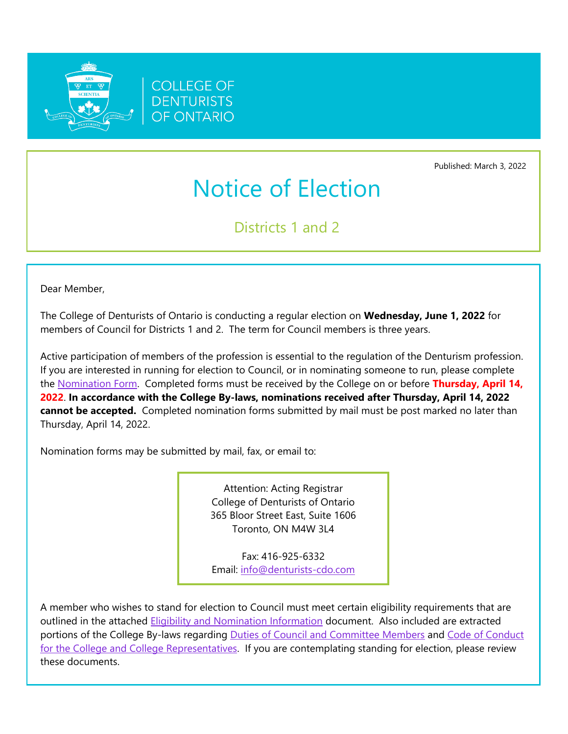



Published: March 3, 2022

## Notice of Election

Districts 1 and 2

Dear Member,

The College of Denturists of Ontario is conducting a regular election on **Wednesday, June 1, 2022** for members of Council for Districts 1 and 2. The term for Council members is three years.

Active participation of members of the profession is essential to the regulation of the Denturism profession. If you are interested in running for election to Council, or in nominating someone to run, please complete the [Nomination Form.](https://denturists-cdo.com/Resources/Guides-Checklists-Forms-and-Documents/Council-Elections/Form-L1-Council-Election-Nomination-Form.aspx) Completed forms must be received by the College on or before **Thursday, April 14, 2022**. **In accordance with the College By-laws, nominations received after Thursday, April 14, 2022 cannot be accepted.** Completed nomination forms submitted by mail must be post marked no later than Thursday, April 14, 2022.

Nomination forms may be submitted by mail, fax, or email to:

Attention: Acting Registrar College of Denturists of Ontario 365 Bloor Street East, Suite 1606 Toronto, ON M4W 3L4

Fax: 416-925-6332 Email: [info@denturists-cdo.com](mailto:info@denturists-cdo.com)

A member who wishes to stand for election to Council must meet certain eligibility requirements that are outlined in the attached [Eligibility and Nomination Information](https://denturists-cdo.com/Resources/Guides-Checklists-Forms-and-Documents/Council-Elections/Eligibility-and-Nomination-Information.aspx) document. Also included are extracted portions of the College By-laws regarding Duties [of Council and Committee Members](https://denturists-cdo.com/Resources/Guides-Checklists-Forms-and-Documents/Council-Elections/Duties-of-Council-and-Committee-Members.aspx) and Code of Conduct [for the College and College Representatives.](https://denturists-cdo.com/Resources/Guides-Checklists-Forms-and-Documents/Council-Elections/Code-of-Conduct-for-the-College-and-College-Repres.aspx) If you are contemplating standing for election, please review these documents.